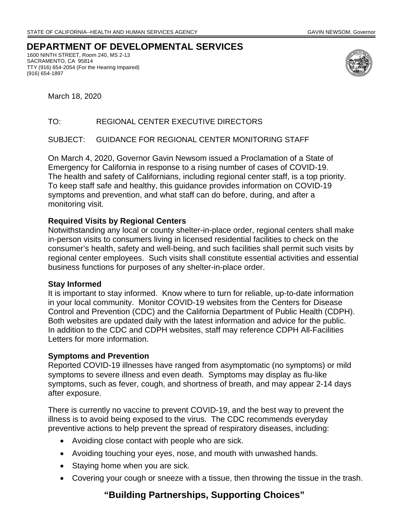# **DEPARTMENT OF DEVELOPMENTAL SERVICES**

1600 NINTH STREET, Room 240, MS 2-13 SACRAMENTO, CA 95814 TTY (916) 654-2054 (For the Hearing Impaired) (916) 654-1897



March 18, 2020

### TO: REGIONAL CENTER EXECUTIVE DIRECTORS

### SUBJECT: GUIDANCE FOR REGIONAL CENTER MONITORING STAFF

On March 4, 2020, Governor Gavin Newsom issued a Proclamation of a State of Emergency for California in response to a rising number of cases of COVID-19. The health and safety of Californians, including regional center staff, is a top priority. To keep staff safe and healthy, this guidance provides information on COVID-19 symptoms and prevention, and what staff can do before, during, and after a monitoring visit.

### **Required Visits by Regional Centers**

Notwithstanding any local or county shelter-in-place order, regional centers shall make in-person visits to consumers living in licensed residential facilities to check on the consumer's health, safety and well-being, and such facilities shall permit such visits by regional center employees. Such visits shall constitute essential activities and essential business functions for purposes of any shelter-in-place order.

### **Stay Informed**

It is important to stay informed. Know where to turn for reliable, up-to-date information in your local community. Monitor COVID-19 websites from the Centers for Disease Control and Prevention (CDC) and the California Department of Public Health (CDPH). Both websites are updated daily with the latest information and advice for the public. In addition to the CDC and CDPH websites, staff may reference CDPH All-Facilities Letters for more information.

### **Symptoms and Prevention**

Reported COVID-19 illnesses have ranged from asymptomatic (no symptoms) or mild symptoms to severe illness and even death. Symptoms may display as flu-like symptoms, such as fever, cough, and shortness of breath, and may appear 2-14 days after exposure.

There is currently no vaccine to prevent COVID-19, and the best way to prevent the illness is to avoid being exposed to the virus. The CDC recommends everyday preventive actions to help prevent the spread of respiratory diseases, including:

- Avoiding close contact with people who are sick.
- Avoiding touching your eyes, nose, and mouth with unwashed hands.
- Staying home when you are sick.
- Covering your cough or sneeze with a tissue, then throwing the tissue in the trash.

# **"Building Partnerships, Supporting Choices"**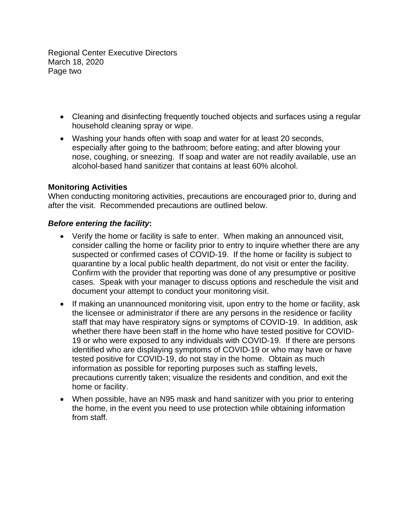Regional Center Executive Directors March 18, 2020 Page two

- Cleaning and disinfecting frequently touched objects and surfaces using a regular household cleaning spray or wipe.
- Washing your hands often with soap and water for at least 20 seconds, especially after going to the bathroom; before eating; and after blowing your nose, coughing, or sneezing. If soap and water are not readily available, use an alcohol-based hand sanitizer that contains at least 60% alcohol.

## **Monitoring Activities**

When conducting monitoring activities, precautions are encouraged prior to, during and after the visit. Recommended precautions are outlined below.

### *Before entering the facility***:**

- Verify the home or facility is safe to enter. When making an announced visit, consider calling the home or facility prior to entry to inquire whether there are any suspected or confirmed cases of COVID-19. If the home or facility is subject to quarantine by a local public health department, do not visit or enter the facility. Confirm with the provider that reporting was done of any presumptive or positive cases. Speak with your manager to discuss options and reschedule the visit and document your attempt to conduct your monitoring visit.
- If making an unannounced monitoring visit, upon entry to the home or facility, ask the licensee or administrator if there are any persons in the residence or facility staff that may have respiratory signs or symptoms of COVID-19. In addition, ask whether there have been staff in the home who have tested positive for COVID-19 or who were exposed to any individuals with COVID-19. If there are persons identified who are displaying symptoms of COVID-19 or who may have or have tested positive for COVID-19, do not stay in the home. Obtain as much information as possible for reporting purposes such as staffing levels, precautions currently taken; visualize the residents and condition, and exit the home or facility.
- When possible, have an N95 mask and hand sanitizer with you prior to entering the home, in the event you need to use protection while obtaining information from staff.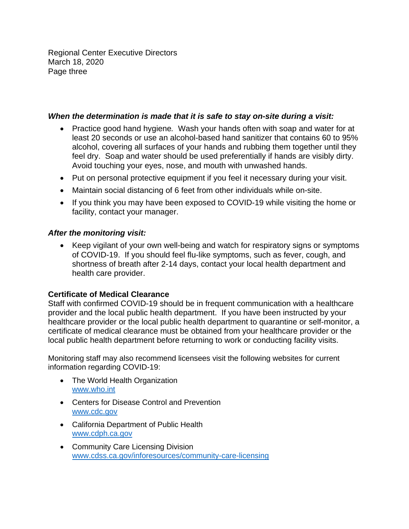Regional Center Executive Directors March 18, 2020 Page three

## *When the determination is made that it is safe to stay on-site during a visit:*

- Avoid touching your eyes, nose, and mouth with unwashed hands. Practice good hand hygiene*.* Wash your hands often with soap and water for at least 20 seconds or use an alcohol-based hand sanitizer that contains 60 to 95% alcohol, covering all surfaces of your hands and rubbing them together until they feel dry. Soap and water should be used preferentially if hands are visibly dirty.
- Put on personal protective equipment if you feel it necessary during your visit.
- Maintain social distancing of 6 feet from other individuals while on-site.
- If you think you may have been exposed to COVID-19 while visiting the home or facility, contact your manager.

## *After the monitoring visit:*

 Keep vigilant of your own well-being and watch for respiratory signs or symptoms of COVID-19. If you should feel flu-like symptoms, such as fever, cough, and shortness of breath after 2-14 days, contact your local health department and health care provider.

## **Certificate of Medical Clearance**

Staff with confirmed COVID-19 should be in frequent communication with a healthcare provider and the local public health department. If you have been instructed by your healthcare provider or the local public health department to quarantine or self-monitor, a certificate of medical clearance must be obtained from your healthcare provider or the local public health department before returning to work or conducting facility visits.

Monitoring staff may also recommend licensees visit the following websites for current information regarding COVID-19:

- The World Health Organization www.who.int
- www.cdc.gov Centers for Disease Control and Prevention
- www.cdph.ca.gov California Department of Public Health
- Community Care Licensing Division www.cdss.ca.gov/inforesources/community-care-licensing